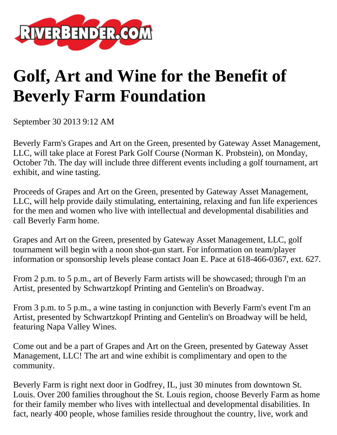

## **Golf, Art and Wine for the Benefit of Beverly Farm Foundation**

September 30 2013 9:12 AM

Beverly Farm's Grapes and Art on the Green, presented by Gateway Asset Management, LLC, will take place at Forest Park Golf Course (Norman K. Probstein), on Monday, October 7th. The day will include three different events including a golf tournament, art exhibit, and wine tasting.

Proceeds of Grapes and Art on the Green, presented by Gateway Asset Management, LLC, will help provide daily stimulating, entertaining, relaxing and fun life experiences for the men and women who live with intellectual and developmental disabilities and call Beverly Farm home.

Grapes and Art on the Green, presented by Gateway Asset Management, LLC, golf tournament will begin with a noon shot-gun start. For information on team/player information or sponsorship levels please contact Joan E. Pace at 618-466-0367, ext. 627.

From 2 p.m. to 5 p.m., art of Beverly Farm artists will be showcased; through I'm an Artist, presented by Schwartzkopf Printing and Gentelin's on Broadway.

From 3 p.m. to 5 p.m., a wine tasting in conjunction with Beverly Farm's event I'm an Artist, presented by Schwartzkopf Printing and Gentelin's on Broadway will be held, featuring Napa Valley Wines.

Come out and be a part of Grapes and Art on the Green, presented by Gateway Asset Management, LLC! The art and wine exhibit is complimentary and open to the community.

Beverly Farm is right next door in Godfrey, IL, just 30 minutes from downtown St. Louis. Over 200 families throughout the St. Louis region, choose Beverly Farm as home for their family member who lives with intellectual and developmental disabilities. In fact, nearly 400 people, whose families reside throughout the country, live, work and